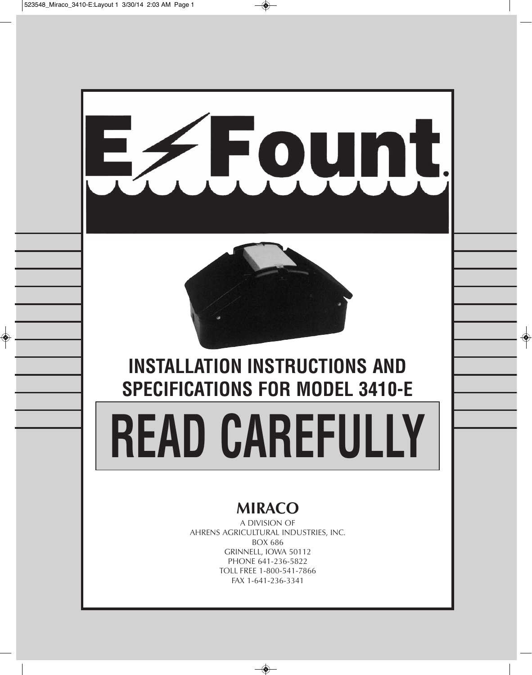

# **MIRACO**

A DIVISION OF AHRENS AGRICULTURAL INDUSTRIES, INC. BOX 686 GRINNELL, IOWA 50112 PHONE 641-236-5822 TOLL FREE 1-800-541-7866 FAX 1-641-236-3341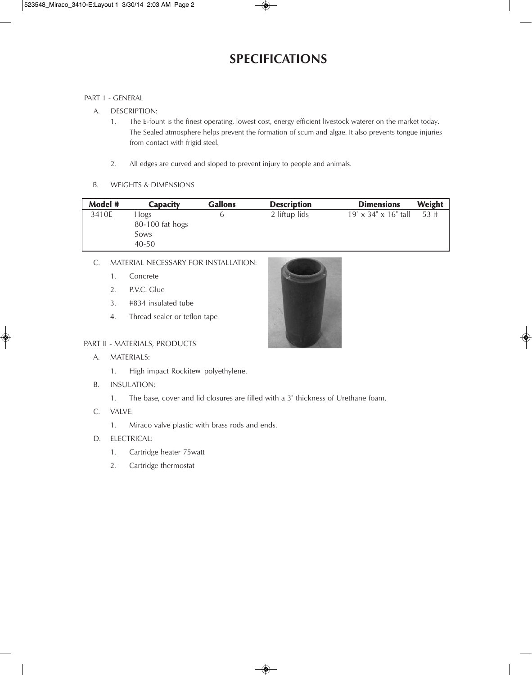# **SPECIFICATIONS**

#### PART 1 - GENERAL

- A. DESCRIPTION:
	- 1. The E-fount is the finest operating, lowest cost, energy efficient livestock waterer on the market today. The Sealed atmosphere helps prevent the formation of scum and algae. It also prevents tongue injuries from contact with frigid steel.
	- 2. All edges are curved and sloped to prevent injury to people and animals.
- B. WEIGHTS & DIMENSIONS

| Model # | <b>Capacity</b>                                     | <b>Gallons</b> | <b>Description</b> | <b>Dimensions</b>                | Weight |
|---------|-----------------------------------------------------|----------------|--------------------|----------------------------------|--------|
| 3410E   | <b>Hogs</b><br>80-100 fat hogs<br>Sows<br>$40 - 50$ |                | 2 liftup lids      | $19" \times 34" \times 16"$ tall | 53#    |

- C. MATERIAL NECESSARY FOR INSTALLATION:
	- 1. Concrete
	- 2. P.V.C. Glue
	- 3. #834 insulated tube
	- 4. Thread sealer or teflon tape

## PART II - MATERIALS, PRODUCTS

- A. MATERIALS:
	- 1. High impact Rockite™ polyethylene.
- B. INSULATION:
	- 1. The base, cover and lid closures are filled with a 3" thickness of Urethane foam.
- C. VALVE:
	- 1. Miraco valve plastic with brass rods and ends.

## D. ELECTRICAL:

- 1. Cartridge heater 75watt
- 2. Cartridge thermostat

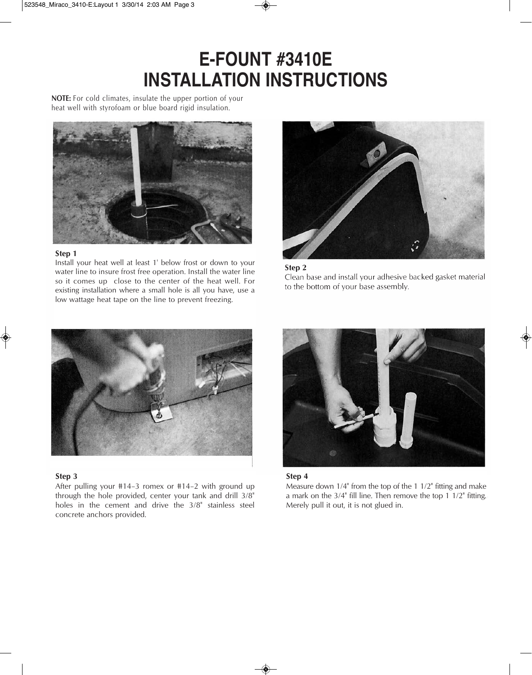# **E-fount #3410E InStALLAtIon InStRuCtIonS**

**NOTE:** For cold climates, insulate the upper portion of your heat well with styrofoam or blue board rigid insulation.



#### **Step 1**

Install your heat well at least 1' below frost or down to your water line to insure frost free operation. Install the water line so it comes up close to the center of the heat well. For existing installation where a small hole is all you have, use a low wattage heat tape on the line to prevent freezing.







#### **Step 3**

After pulling your #14–3 romex or #14–2 with ground up through the hole provided, center your tank and drill 3/8" holes in the cement and drive the 3/8" stainless steel concrete anchors provided.



#### **Step 4**

Measure down 1/4" from the top of the 1 1/2" fitting and make a mark on the 3/4" fill line. Then remove the top 1 1/2" fitting. Merely pull it out, it is not glued in.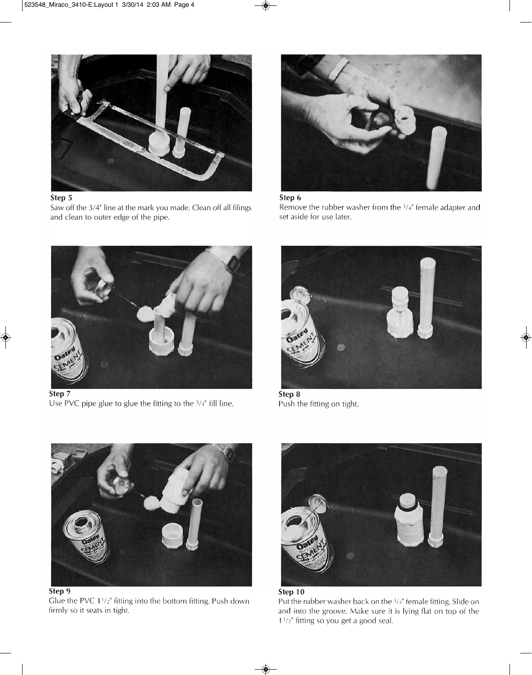

## **Step 5**

Saw off the 3/4" line at the mark you made. Clean off all filings and clean to outer edge of the pipe.



## Step 6

Remove the rubber washer from the  $3/4$ " female adapter and set aside for use later.



Step 7 Use PVC pipe glue to glue the fitting to the  $3/4$ <sup>"</sup> fill line.



Step 8 Push the fitting on tight.



Glue the PVC 1<sup>1</sup>/<sub>2</sub><sup>"</sup> fitting into the bottom fitting. Push down firmly so it seats in tight.



Step 10 Put the rubber washer back on the 3/4" female fitting. Slide on and into the groove. Make sure it is lying flat on top of the  $1^{1/2}$ " fitting so you get a good seal.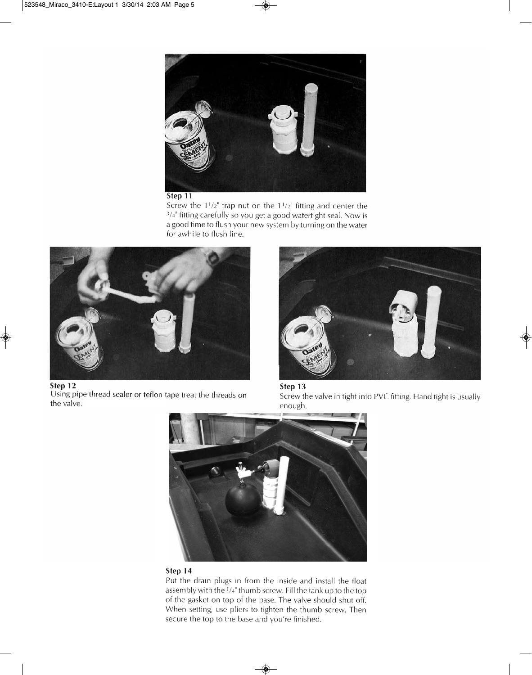

#### Step 11

Screw the  $1^{1}/2$ " trap nut on the  $1^{1}/2$ " fitting and center the 3/4" fitting carefully so you get a good watertight seal. Now is a good time to flush your new system by turning on the water for awhile to flush line.



Step 12 Using pipe thread sealer or teflon tape treat the threads on the valve.







## Step 14

Put the drain plugs in from the inside and install the float assembly with the 1/4" thumb screw. Fill the tank up to the top of the gasket on top of the base. The valve should shut off. When setting, use pliers to tighten the thumb screw. Then secure the top to the base and you're finished.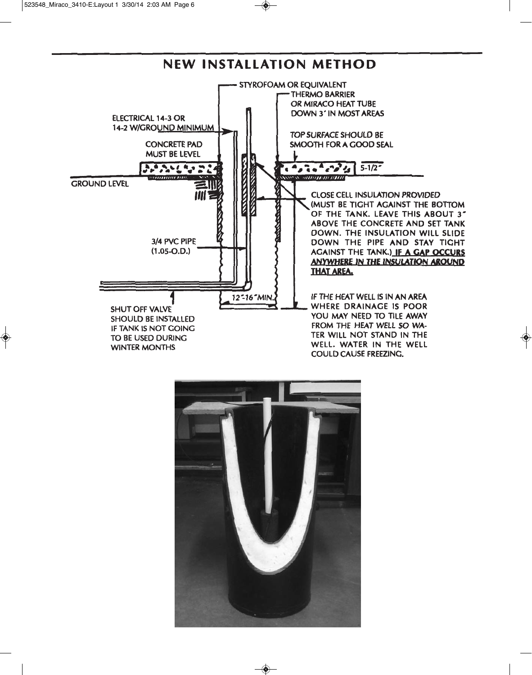

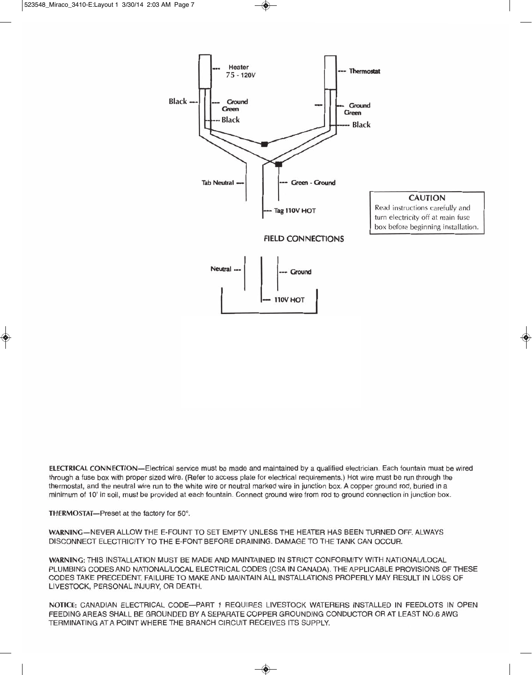

ELECTRICAL CONNECTION-Electrical service must be made and maintained by a qualified electrician. Each fountain must be wired through a fuse box with proper sized wire. (Refer to access plate for electrical requirements.) Hot wire must be run through the thermostat, and the neutral wire run to the white wire or neutral marked wire in junction box. A copper ground rod, buried in a minimum of 10' in soil, must be provided at each fountain. Connect ground wire from rod to ground connection in junction box.

THERMOSTAT-Preset at the factory for 50°.

WARNING-NEVER ALLOW THE E-FOUNT TO SET EMPTY UNLESS THE HEATER HAS BEEN TURNED OFF. ALWAYS DISCONNECT ELECTRICITY TO THE E-FONT BEFORE DRAINING. DAMAGE TO THE TANK CAN OCCUR.

WARNING: THIS INSTALLATION MUST BE MADE AND MAINTAINED IN STRICT CONFORMITY WITH NATIONAL/LOCAL PLUMBING CODES AND NATIONAL/LOCAL ELECTRICAL CODES (CSA IN CANADA). THE APPLICABLE PROVISIONS OF THESE CODES TAKE PRECEDENT. FAILURE TO MAKE AND MAINTAIN ALL INSTALLATIONS PROPERLY MAY RESULT IN LOSS OF LIVESTOCK, PERSONAL INJURY, OR DEATH.

NOTICE: CANADIAN ELECTRICAL CODE-PART 1 REQUIRES LIVESTOCK WATERERS INSTALLED IN FEEDLOTS IN OPEN FEEDING AREAS SHALL BE GROUNDED BY A SEPARATE COPPER GROUNDING CONDUCTOR OR AT LEAST NO.6 AWG TERMINATING AT A POINT WHERE THE BRANCH CIRCUIT RECEIVES ITS SUPPLY.